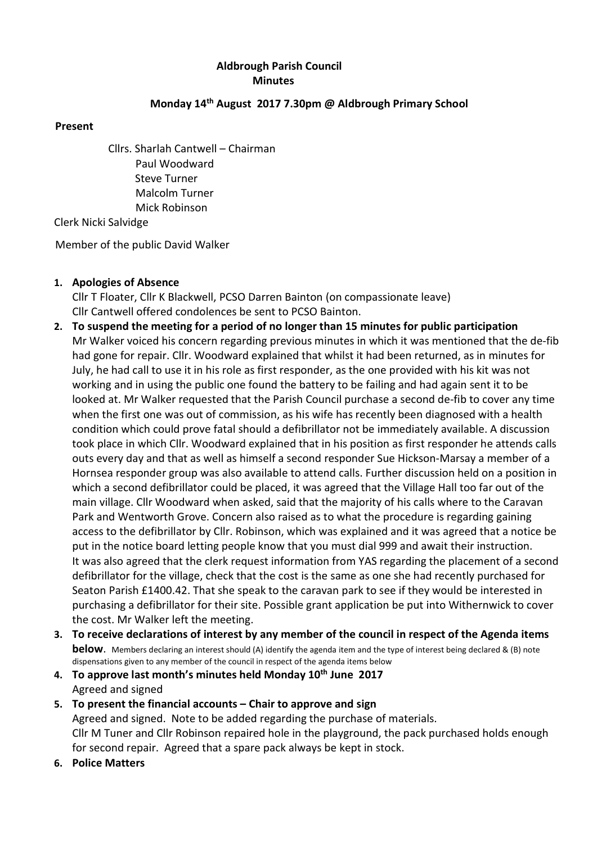# Aldbrough Parish Council Minutes

#### Monday 14th August 2017 7.30pm @ Aldbrough Primary School

#### Present

Cllrs. Sharlah Cantwell – Chairman Paul Woodward Steve Turner Malcolm Turner Mick Robinson

Clerk Nicki Salvidge

Member of the public David Walker

1. Apologies of Absence

Cllr T Floater, Cllr K Blackwell, PCSO Darren Bainton (on compassionate leave) Cllr Cantwell offered condolences be sent to PCSO Bainton.

- 2. To suspend the meeting for a period of no longer than 15 minutes for public participation Mr Walker voiced his concern regarding previous minutes in which it was mentioned that the de-fib had gone for repair. Cllr. Woodward explained that whilst it had been returned, as in minutes for July, he had call to use it in his role as first responder, as the one provided with his kit was not working and in using the public one found the battery to be failing and had again sent it to be looked at. Mr Walker requested that the Parish Council purchase a second de-fib to cover any time when the first one was out of commission, as his wife has recently been diagnosed with a health condition which could prove fatal should a defibrillator not be immediately available. A discussion took place in which Cllr. Woodward explained that in his position as first responder he attends calls outs every day and that as well as himself a second responder Sue Hickson-Marsay a member of a Hornsea responder group was also available to attend calls. Further discussion held on a position in which a second defibrillator could be placed, it was agreed that the Village Hall too far out of the main village. Cllr Woodward when asked, said that the majority of his calls where to the Caravan Park and Wentworth Grove. Concern also raised as to what the procedure is regarding gaining access to the defibrillator by Cllr. Robinson, which was explained and it was agreed that a notice be put in the notice board letting people know that you must dial 999 and await their instruction. It was also agreed that the clerk request information from YAS regarding the placement of a second defibrillator for the village, check that the cost is the same as one she had recently purchased for Seaton Parish £1400.42. That she speak to the caravan park to see if they would be interested in purchasing a defibrillator for their site. Possible grant application be put into Withernwick to cover the cost. Mr Walker left the meeting.
- 3. To receive declarations of interest by any member of the council in respect of the Agenda items below. Members declaring an interest should (A) identify the agenda item and the type of interest being declared & (B) note dispensations given to any member of the council in respect of the agenda items below
- 4. To approve last month's minutes held Monday  $10<sup>th</sup>$  June 2017 Agreed and signed
- 5. To present the financial accounts Chair to approve and sign Agreed and signed. Note to be added regarding the purchase of materials. Cllr M Tuner and Cllr Robinson repaired hole in the playground, the pack purchased holds enough for second repair. Agreed that a spare pack always be kept in stock.
- 6. Police Matters